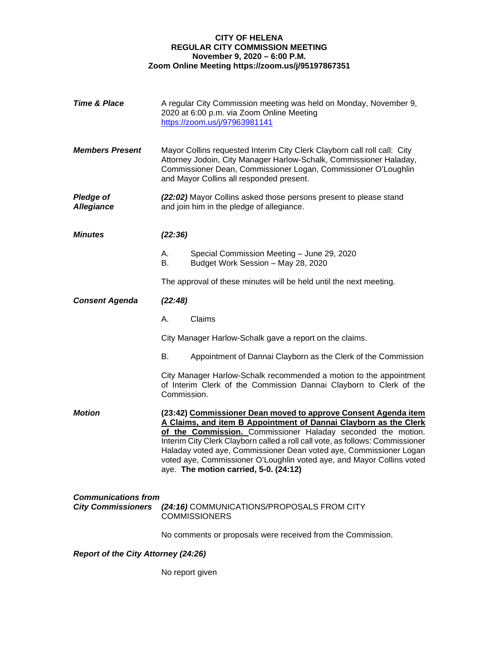## **CITY OF HELENA REGULAR CITY COMMISSION MEETING November 9, 2020 – 6:00 P.M. Zoom Online Meeting https://zoom.us/j/95197867351**

| <b>Time &amp; Place</b>                                 | A regular City Commission meeting was held on Monday, November 9,<br>2020 at 6:00 p.m. via Zoom Online Meeting<br>https://zoom.us/j/97963981141                                                                                                              |                                                                                                                                                                                                                                                                                                                                                                                                                                                                             |  |
|---------------------------------------------------------|--------------------------------------------------------------------------------------------------------------------------------------------------------------------------------------------------------------------------------------------------------------|-----------------------------------------------------------------------------------------------------------------------------------------------------------------------------------------------------------------------------------------------------------------------------------------------------------------------------------------------------------------------------------------------------------------------------------------------------------------------------|--|
| <b>Members Present</b>                                  | Mayor Collins requested Interim City Clerk Clayborn call roll call: City<br>Attorney Jodoin, City Manager Harlow-Schalk, Commissioner Haladay,<br>Commissioner Dean, Commissioner Logan, Commissioner O'Loughlin<br>and Mayor Collins all responded present. |                                                                                                                                                                                                                                                                                                                                                                                                                                                                             |  |
| <b>Pledge of</b><br><b>Allegiance</b>                   | (22:02) Mayor Collins asked those persons present to please stand<br>and join him in the pledge of allegiance.                                                                                                                                               |                                                                                                                                                                                                                                                                                                                                                                                                                                                                             |  |
| <b>Minutes</b>                                          | (22:36)                                                                                                                                                                                                                                                      |                                                                                                                                                                                                                                                                                                                                                                                                                                                                             |  |
|                                                         | А.<br>В.                                                                                                                                                                                                                                                     | Special Commission Meeting - June 29, 2020<br>Budget Work Session - May 28, 2020                                                                                                                                                                                                                                                                                                                                                                                            |  |
|                                                         |                                                                                                                                                                                                                                                              | The approval of these minutes will be held until the next meeting.                                                                                                                                                                                                                                                                                                                                                                                                          |  |
| <b>Consent Agenda</b>                                   | (22:48)                                                                                                                                                                                                                                                      |                                                                                                                                                                                                                                                                                                                                                                                                                                                                             |  |
|                                                         | А.                                                                                                                                                                                                                                                           | Claims                                                                                                                                                                                                                                                                                                                                                                                                                                                                      |  |
|                                                         |                                                                                                                                                                                                                                                              | City Manager Harlow-Schalk gave a report on the claims.                                                                                                                                                                                                                                                                                                                                                                                                                     |  |
|                                                         | В.                                                                                                                                                                                                                                                           | Appointment of Dannai Clayborn as the Clerk of the Commission                                                                                                                                                                                                                                                                                                                                                                                                               |  |
|                                                         | City Manager Harlow-Schalk recommended a motion to the appointment<br>of Interim Clerk of the Commission Dannai Clayborn to Clerk of the<br>Commission.                                                                                                      |                                                                                                                                                                                                                                                                                                                                                                                                                                                                             |  |
| <b>Motion</b>                                           |                                                                                                                                                                                                                                                              | (23:42) Commissioner Dean moved to approve Consent Agenda item<br>A Claims, and item B Appointment of Dannai Clayborn as the Clerk<br>of the Commission. Commissioner Haladay seconded the motion.<br>Interim City Clerk Clayborn called a roll call vote, as follows: Commissioner<br>Haladay voted aye, Commissioner Dean voted aye, Commissioner Logan<br>voted aye, Commissioner O'Loughlin voted aye, and Mayor Collins voted<br>aye. The motion carried, 5-0. (24:12) |  |
| <b>Communications from</b><br><b>City Commissioners</b> |                                                                                                                                                                                                                                                              | (24:16) COMMUNICATIONS/PROPOSALS FROM CITY<br><b>COMMISSIONERS</b>                                                                                                                                                                                                                                                                                                                                                                                                          |  |
|                                                         |                                                                                                                                                                                                                                                              | No comments or proposals were received from the Commission.                                                                                                                                                                                                                                                                                                                                                                                                                 |  |
| <b>Report of the City Attorney (24:26)</b>              |                                                                                                                                                                                                                                                              |                                                                                                                                                                                                                                                                                                                                                                                                                                                                             |  |

No report given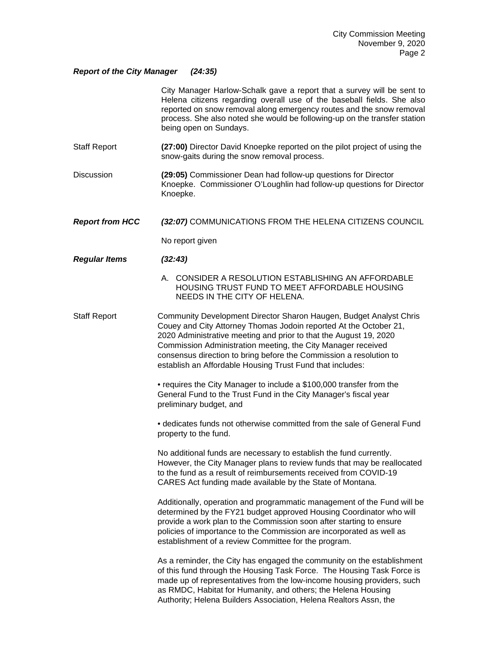## *Report of the City Manager (24:35)*

|                        | City Manager Harlow-Schalk gave a report that a survey will be sent to<br>Helena citizens regarding overall use of the baseball fields. She also<br>reported on snow removal along emergency routes and the snow removal<br>process. She also noted she would be following-up on the transfer station<br>being open on Sundays.                                                                                 |
|------------------------|-----------------------------------------------------------------------------------------------------------------------------------------------------------------------------------------------------------------------------------------------------------------------------------------------------------------------------------------------------------------------------------------------------------------|
| <b>Staff Report</b>    | (27:00) Director David Knoepke reported on the pilot project of using the<br>snow-gaits during the snow removal process.                                                                                                                                                                                                                                                                                        |
| <b>Discussion</b>      | (29:05) Commissioner Dean had follow-up questions for Director<br>Knoepke. Commissioner O'Loughlin had follow-up questions for Director<br>Knoepke.                                                                                                                                                                                                                                                             |
| <b>Report from HCC</b> | (32:07) COMMUNICATIONS FROM THE HELENA CITIZENS COUNCIL                                                                                                                                                                                                                                                                                                                                                         |
|                        | No report given                                                                                                                                                                                                                                                                                                                                                                                                 |
| <b>Regular Items</b>   | (32:43)                                                                                                                                                                                                                                                                                                                                                                                                         |
|                        | A. CONSIDER A RESOLUTION ESTABLISHING AN AFFORDABLE<br>HOUSING TRUST FUND TO MEET AFFORDABLE HOUSING<br>NEEDS IN THE CITY OF HELENA.                                                                                                                                                                                                                                                                            |
| <b>Staff Report</b>    | Community Development Director Sharon Haugen, Budget Analyst Chris<br>Couey and City Attorney Thomas Jodoin reported At the October 21,<br>2020 Administrative meeting and prior to that the August 19, 2020<br>Commission Administration meeting, the City Manager received<br>consensus direction to bring before the Commission a resolution to<br>establish an Affordable Housing Trust Fund that includes: |
|                        | • requires the City Manager to include a \$100,000 transfer from the<br>General Fund to the Trust Fund in the City Manager's fiscal year<br>preliminary budget, and                                                                                                                                                                                                                                             |
|                        | • dedicates funds not otherwise committed from the sale of General Fund<br>property to the fund.                                                                                                                                                                                                                                                                                                                |
|                        | No additional funds are necessary to establish the fund currently.<br>However, the City Manager plans to review funds that may be reallocated<br>to the fund as a result of reimbursements received from COVID-19<br>CARES Act funding made available by the State of Montana.                                                                                                                                  |
|                        | Additionally, operation and programmatic management of the Fund will be<br>determined by the FY21 budget approved Housing Coordinator who will<br>provide a work plan to the Commission soon after starting to ensure<br>policies of importance to the Commission are incorporated as well as<br>establishment of a review Committee for the program.                                                           |
|                        | As a reminder, the City has engaged the community on the establishment<br>of this fund through the Housing Task Force. The Housing Task Force is<br>made up of representatives from the low-income housing providers, such<br>as RMDC, Habitat for Humanity, and others; the Helena Housing<br>Authority; Helena Builders Association, Helena Realtors Assn, the                                                |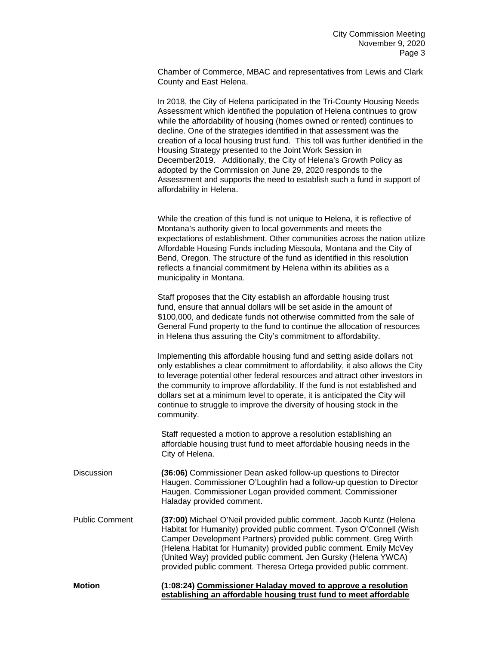Chamber of Commerce, MBAC and representatives from Lewis and Clark County and East Helena.

In 2018, the City of Helena participated in the Tri-County Housing Needs Assessment which identified the population of Helena continues to grow while the affordability of housing (homes owned or rented) continues to decline. One of the strategies identified in that assessment was the creation of a local housing trust fund. This toll was further identified in the Housing Strategy presented to the Joint Work Session in December2019. Additionally, the City of Helena's Growth Policy as adopted by the Commission on June 29, 2020 responds to the Assessment and supports the need to establish such a fund in support of affordability in Helena.

While the creation of this fund is not unique to Helena, it is reflective of Montana's authority given to local governments and meets the expectations of establishment. Other communities across the nation utilize Affordable Housing Funds including Missoula, Montana and the City of Bend, Oregon. The structure of the fund as identified in this resolution reflects a financial commitment by Helena within its abilities as a municipality in Montana.

Staff proposes that the City establish an affordable housing trust fund, ensure that annual dollars will be set aside in the amount of \$100,000, and dedicate funds not otherwise committed from the sale of General Fund property to the fund to continue the allocation of resources in Helena thus assuring the City's commitment to affordability.

Implementing this affordable housing fund and setting aside dollars not only establishes a clear commitment to affordability, it also allows the City to leverage potential other federal resources and attract other investors in the community to improve affordability. If the fund is not established and dollars set at a minimum level to operate, it is anticipated the City will continue to struggle to improve the diversity of housing stock in the community.

Staff requested a motion to approve a resolution establishing an affordable housing trust fund to meet affordable housing needs in the City of Helena.

- Discussion **(36:06)** Commissioner Dean asked follow-up questions to Director Haugen. Commissioner O'Loughlin had a follow-up question to Director Haugen. Commissioner Logan provided comment. Commissioner Haladay provided comment.
- Public Comment **(37:00)** Michael O'Neil provided public comment. Jacob Kuntz (Helena Habitat for Humanity) provided public comment. Tyson O'Connell (Wish Camper Development Partners) provided public comment. Greg Wirth (Helena Habitat for Humanity) provided public comment. Emily McVey (United Way) provided public comment. Jen Gursky (Helena YWCA) provided public comment. Theresa Ortega provided public comment.

**Motion (1:08:24) Commissioner Haladay moved to approve a resolution establishing an affordable housing trust fund to meet affordable**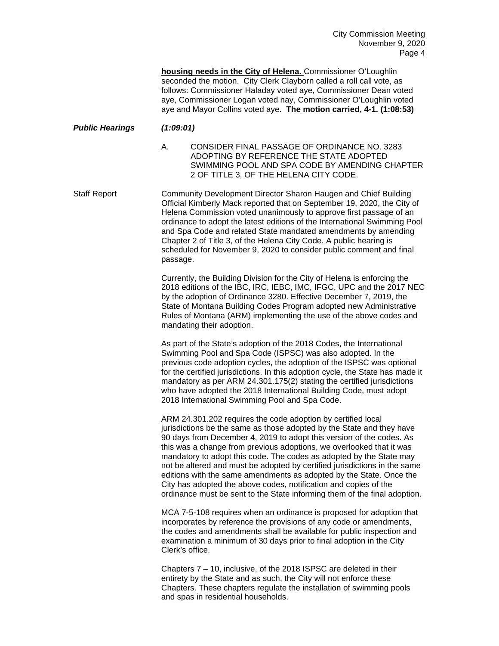**housing needs in the City of Helena.** Commissioner O'Loughlin seconded the motion. City Clerk Clayborn called a roll call vote, as follows: Commissioner Haladay voted aye, Commissioner Dean voted aye, Commissioner Logan voted nay, Commissioner O'Loughlin voted aye and Mayor Collins voted aye. **The motion carried, 4-1. (1:08:53)**

- *Public Hearings (1:09:01)*
	- A. CONSIDER FINAL PASSAGE OF ORDINANCE NO. 3283 ADOPTING BY REFERENCE THE STATE ADOPTED SWIMMING POOL AND SPA CODE BY AMENDING CHAPTER 2 OF TITLE 3, OF THE HELENA CITY CODE.

Staff Report Community Development Director Sharon Haugen and Chief Building Official Kimberly Mack reported that on September 19, 2020, the City of Helena Commission voted unanimously to approve first passage of an ordinance to adopt the latest editions of the International Swimming Pool and Spa Code and related State mandated amendments by amending Chapter 2 of Title 3, of the Helena City Code. A public hearing is scheduled for November 9, 2020 to consider public comment and final passage.

> Currently, the Building Division for the City of Helena is enforcing the 2018 editions of the IBC, IRC, IEBC, IMC, IFGC, UPC and the 2017 NEC by the adoption of Ordinance 3280. Effective December 7, 2019, the State of Montana Building Codes Program adopted new Administrative Rules of Montana (ARM) implementing the use of the above codes and mandating their adoption.

> As part of the State's adoption of the 2018 Codes, the International Swimming Pool and Spa Code (ISPSC) was also adopted. In the previous code adoption cycles, the adoption of the ISPSC was optional for the certified jurisdictions. In this adoption cycle, the State has made it mandatory as per ARM 24.301.175(2) stating the certified jurisdictions who have adopted the 2018 International Building Code, must adopt 2018 International Swimming Pool and Spa Code.

> ARM 24.301.202 requires the code adoption by certified local jurisdictions be the same as those adopted by the State and they have 90 days from December 4, 2019 to adopt this version of the codes. As this was a change from previous adoptions, we overlooked that it was mandatory to adopt this code. The codes as adopted by the State may not be altered and must be adopted by certified jurisdictions in the same editions with the same amendments as adopted by the State. Once the City has adopted the above codes, notification and copies of the ordinance must be sent to the State informing them of the final adoption.

MCA 7-5-108 requires when an ordinance is proposed for adoption that incorporates by reference the provisions of any code or amendments, the codes and amendments shall be available for public inspection and examination a minimum of 30 days prior to final adoption in the City Clerk's office.

Chapters 7 – 10, inclusive, of the 2018 ISPSC are deleted in their entirety by the State and as such, the City will not enforce these Chapters. These chapters regulate the installation of swimming pools and spas in residential households.